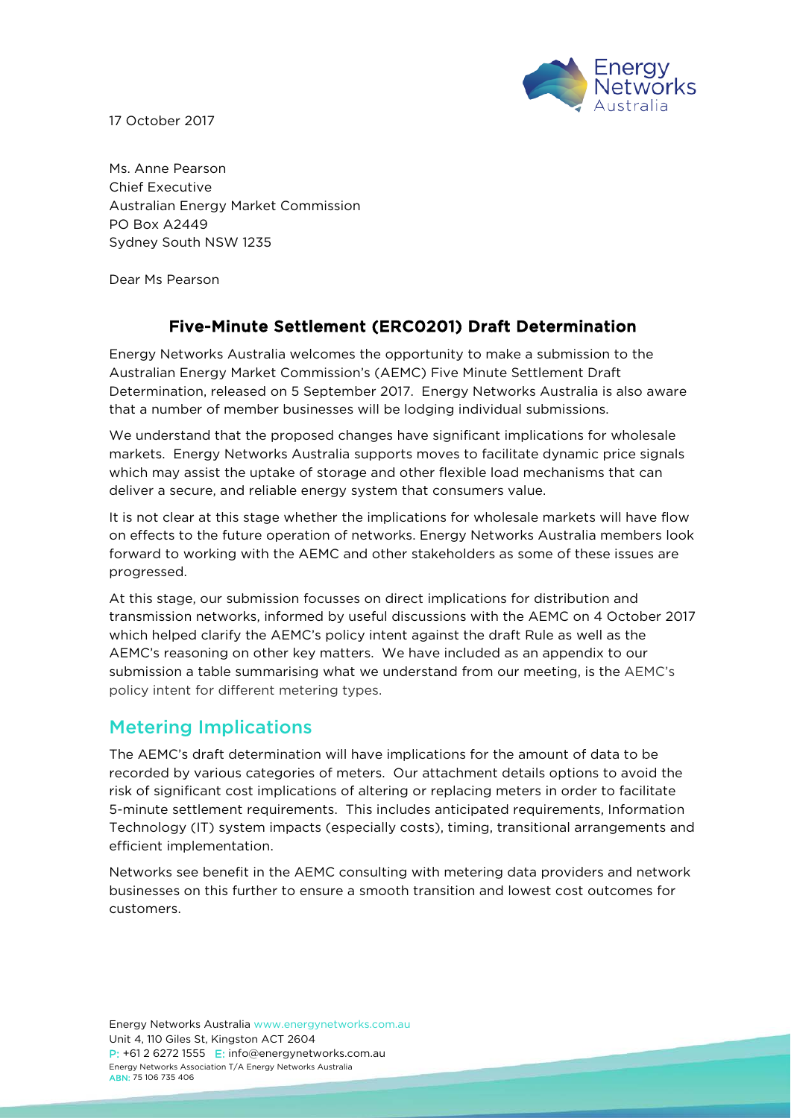17 October 2017



Ms. Anne Pearson Chief Executive Australian Energy Market Commission PO Box A2449 Sydney South NSW 1235

Dear Ms Pearson

# Five-Minute Settlement (ERC0201) Draft Determination

Energy Networks Australia welcomes the opportunity to make a submission to the Australian Energy Market Commission's (AEMC) Five Minute Settlement Draft Determination, released on 5 September 2017. Energy Networks Australia is also aware that a number of member businesses will be lodging individual submissions.

We understand that the proposed changes have significant implications for wholesale markets. Energy Networks Australia supports moves to facilitate dynamic price signals which may assist the uptake of storage and other flexible load mechanisms that can deliver a secure, and reliable energy system that consumers value.

It is not clear at this stage whether the implications for wholesale markets will have flow on effects to the future operation of networks. Energy Networks Australia members look forward to working with the AEMC and other stakeholders as some of these issues are progressed.

At this stage, our submission focusses on direct implications for distribution and transmission networks, informed by useful discussions with the AEMC on 4 October 2017 which helped clarify the AEMC's policy intent against the draft Rule as well as the AEMC's reasoning on other key matters. We have included as an appendix to our submission a table summarising what we understand from our meeting, is the AEMC's policy intent for different metering types.

# Metering Implications

The AEMC's draft determination will have implications for the amount of data to be recorded by various categories of meters. Our attachment details options to avoid the risk of significant cost implications of altering or replacing meters in order to facilitate 5-minute settlement requirements. This includes anticipated requirements, Information Technology (IT) system impacts (especially costs), timing, transitional arrangements and efficient implementation.

Networks see benefit in the AEMC consulting with metering data providers and network businesses on this further to ensure a smooth transition and lowest cost outcomes for customers.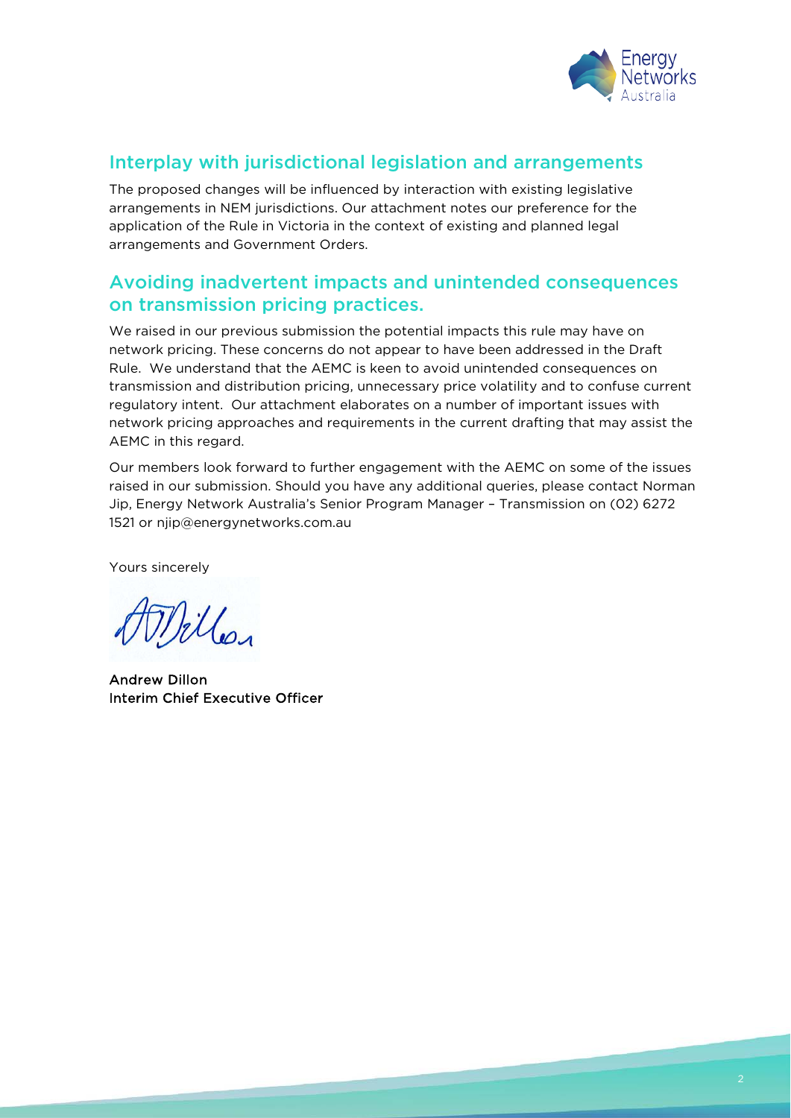

# Interplay with jurisdictional legislation and arrangements

The proposed changes will be influenced by interaction with existing legislative arrangements in NEM jurisdictions. Our attachment notes our preference for the application of the Rule in Victoria in the context of existing and planned legal arrangements and Government Orders.

# Avoiding inadvertent impacts and unintended consequences on transmission pricing practices.

We raised in our previous submission the potential impacts this rule may have on network pricing. These concerns do not appear to have been addressed in the Draft Rule. We understand that the AEMC is keen to avoid unintended consequences on transmission and distribution pricing, unnecessary price volatility and to confuse current regulatory intent. Our attachment elaborates on a number of important issues with network pricing approaches and requirements in the current drafting that may assist the AEMC in this regard.

Our members look forward to further engagement with the AEMC on some of the issues raised in our submission. Should you have any additional queries, please contact Norman Jip, Energy Network Australia's Senior Program Manager – Transmission on (02) 6272 1521 or [njip@energynetworks.com.au](mailto:njip@energynetworks.com.au)

Yours sincerely

Willer

Andrew Dillon Interim Chief Executive Officer

<u>a bandar a shekara ta 1999 a tsara tsara tsara tsara tsara tsara tsara tsara tsara tsara tsara tsara tsara tsar</u>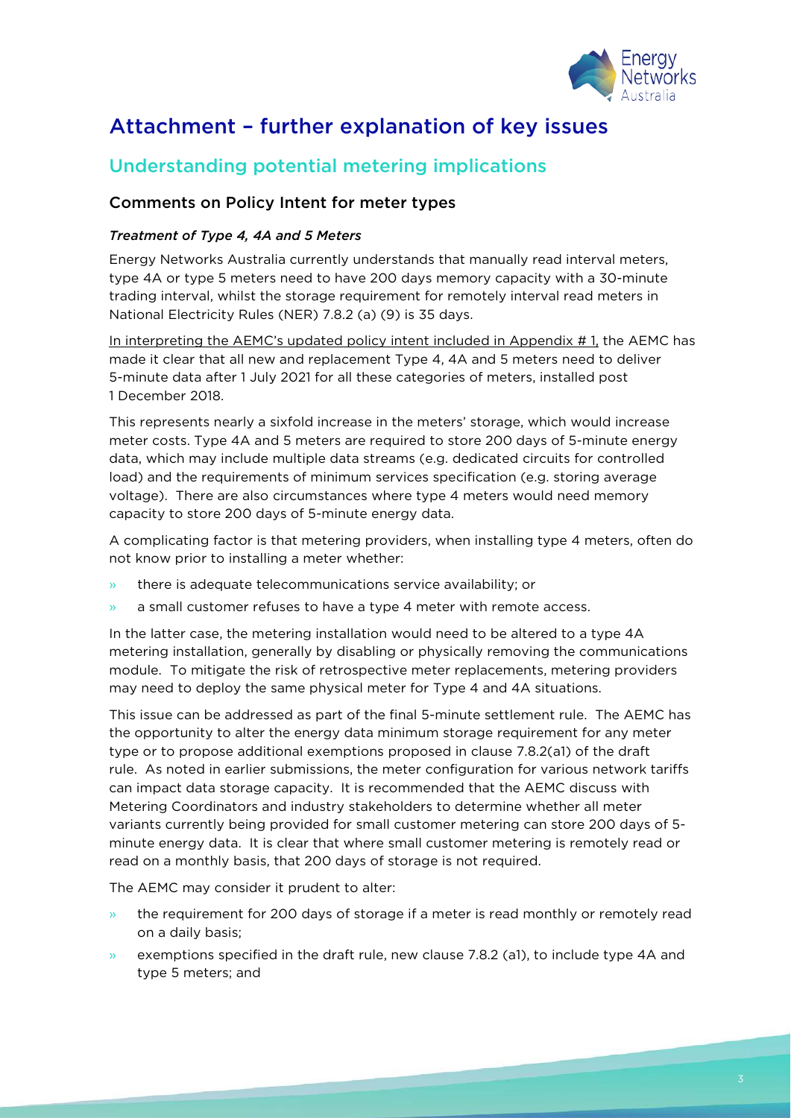

# Attachment – further explanation of key issues

# Understanding potential metering implications

#### Comments on Policy Intent for meter types

#### *Treatment of Type 4, 4A and 5 Meters*

Energy Networks Australia currently understands that manually read interval meters, type 4A or type 5 meters need to have 200 days memory capacity with a 30-minute trading interval, whilst the storage requirement for remotely interval read meters in National Electricity Rules (NER) 7.8.2 (a) (9) is 35 days.

In interpreting the AEMC's updated policy intent included in Appendix #1, the AEMC has made it clear that all new and replacement Type 4, 4A and 5 meters need to deliver 5-minute data after 1 July 2021 for all these categories of meters, installed post 1 December 2018.

This represents nearly a sixfold increase in the meters' storage, which would increase meter costs. Type 4A and 5 meters are required to store 200 days of 5-minute energy data, which may include multiple data streams (e.g. dedicated circuits for controlled load) and the requirements of minimum services specification (e.g. storing average voltage). There are also circumstances where type 4 meters would need memory capacity to store 200 days of 5-minute energy data.

A complicating factor is that metering providers, when installing type 4 meters, often do not know prior to installing a meter whether:

- » there is adequate telecommunications service availability; or
- $\lambda$  a small customer refuses to have a type 4 meter with remote access.

In the latter case, the metering installation would need to be altered to a type 4A metering installation, generally by disabling or physically removing the communications module. To mitigate the risk of retrospective meter replacements, metering providers may need to deploy the same physical meter for Type 4 and 4A situations.

This issue can be addressed as part of the final 5-minute settlement rule. The AEMC has the opportunity to alter the energy data minimum storage requirement for any meter type or to propose additional exemptions proposed in clause 7.8.2(a1) of the draft rule. As noted in earlier submissions, the meter configuration for various network tariffs can impact data storage capacity. It is recommended that the AEMC discuss with Metering Coordinators and industry stakeholders to determine whether all meter variants currently being provided for small customer metering can store 200 days of 5 minute energy data. It is clear that where small customer metering is remotely read or read on a monthly basis, that 200 days of storage is not required.

The AEMC may consider it prudent to alter:

- the requirement for 200 days of storage if a meter is read monthly or remotely read on a daily basis;
- » exemptions specified in the draft rule, new clause 7.8.2 (a1), to include type 4A and type 5 meters; and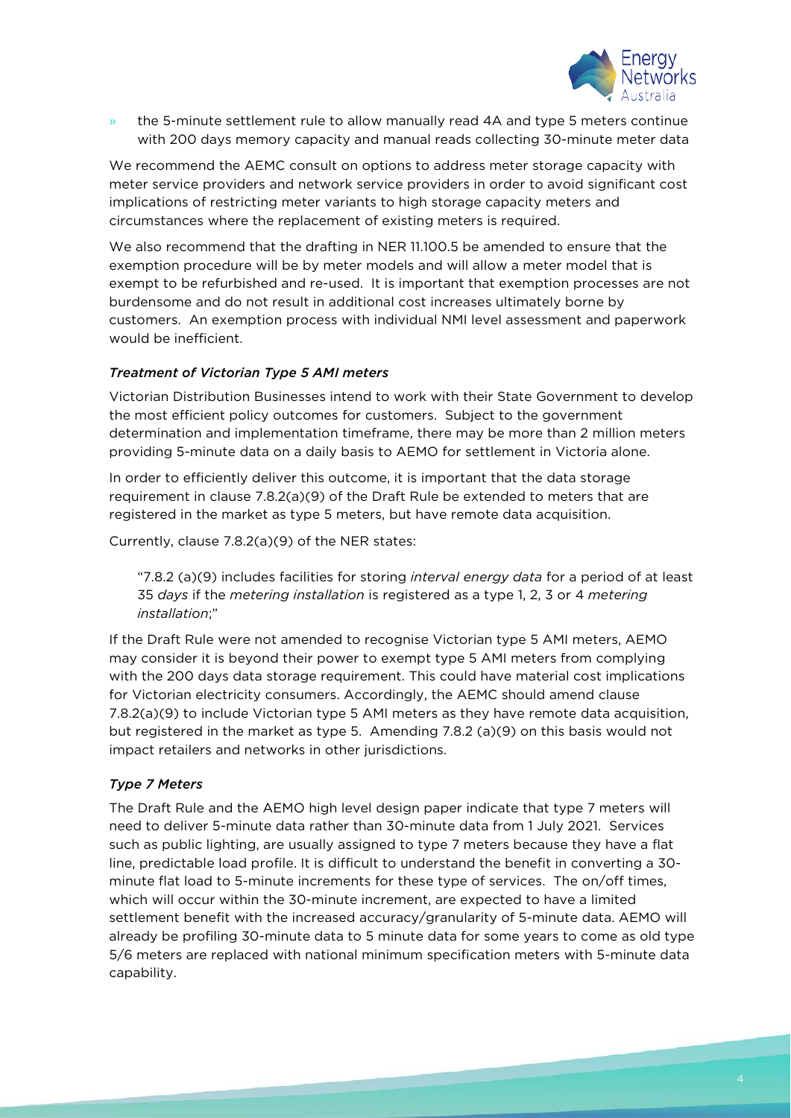

» the 5-minute settlement rule to allow manually read 4A and type 5 meters continue with 200 days memory capacity and manual reads collecting 30-minute meter data

We recommend the AEMC consult on options to address meter storage capacity with meter service providers and network service providers in order to avoid significant cost implications of restricting meter variants to high storage capacity meters and circumstances where the replacement of existing meters is required.

We also recommend that the drafting in NER 11.100.5 be amended to ensure that the exemption procedure will be by meter models and will allow a meter model that is exempt to be refurbished and re-used. It is important that exemption processes are not burdensome and do not result in additional cost increases ultimately borne by customers. An exemption process with individual NMI level assessment and paperwork would be inefficient.

#### *Treatment of Victorian Type 5 AMI meters*

Victorian Distribution Businesses intend to work with their State Government to develop the most efficient policy outcomes for customers. Subject to the government determination and implementation timeframe, there may be more than 2 million meters providing 5-minute data on a daily basis to AEMO for settlement in Victoria alone.

In order to efficiently deliver this outcome, it is important that the data storage requirement in clause 7.8.2(a)(9) of the Draft Rule be extended to meters that are registered in the market as type 5 meters, but have remote data acquisition.

Currently, clause 7.8.2(a)(9) of the NER states:

"7.8.2 (a)(9) includes facilities for storing *interval energy data* for a period of at least 35 *days* if the *metering installation* is registered as a type 1, 2, 3 or 4 *metering installation*;"

If the Draft Rule were not amended to recognise Victorian type 5 AMI meters, AEMO may consider it is beyond their power to exempt type 5 AMI meters from complying with the 200 days data storage requirement. This could have material cost implications for Victorian electricity consumers. Accordingly, the AEMC should amend clause 7.8.2(a)(9) to include Victorian type 5 AMI meters as they have remote data acquisition, but registered in the market as type 5. Amending 7.8.2 (a)(9) on this basis would not impact retailers and networks in other jurisdictions.

#### *Type 7 Meters*

The Draft Rule and the AEMO high level design paper indicate that type 7 meters will need to deliver 5-minute data rather than 30-minute data from 1 July 2021. Services such as public lighting, are usually assigned to type 7 meters because they have a flat line, predictable load profile. It is difficult to understand the benefit in converting a 30 minute flat load to 5-minute increments for these type of services. The on/off times, which will occur within the 30-minute increment, are expected to have a limited settlement benefit with the increased accuracy/granularity of 5-minute data. AEMO will already be profiling 30-minute data to 5 minute data for some years to come as old type 5/6 meters are replaced with national minimum specification meters with 5-minute data capability.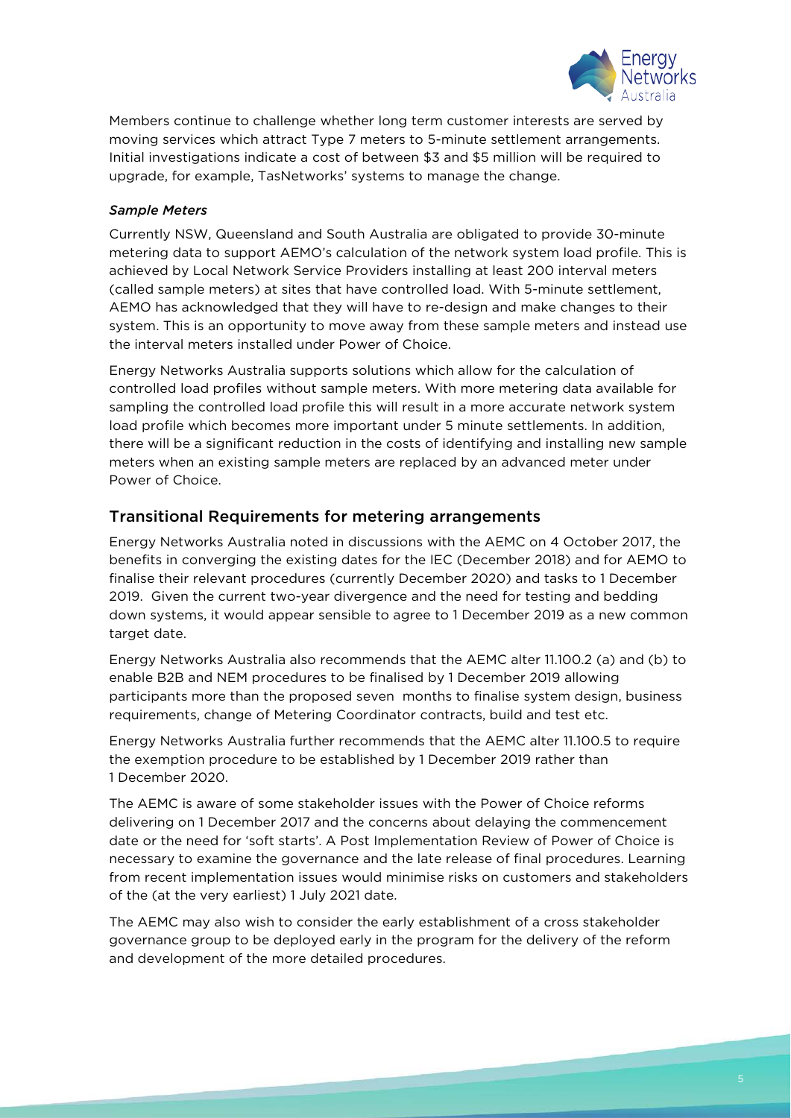

Members continue to challenge whether long term customer interests are served by moving services which attract Type 7 meters to 5-minute settlement arrangements. Initial investigations indicate a cost of between \$3 and \$5 million will be required to upgrade, for example, TasNetworks' systems to manage the change.

#### *Sample Meters*

Currently NSW, Queensland and South Australia are obligated to provide 30-minute metering data to support AEMO's calculation of the network system load profile. This is achieved by Local Network Service Providers installing at least 200 interval meters (called sample meters) at sites that have controlled load. With 5-minute settlement, AEMO has acknowledged that they will have to re-design and make changes to their system. This is an opportunity to move away from these sample meters and instead use the interval meters installed under Power of Choice.

Energy Networks Australia supports solutions which allow for the calculation of controlled load profiles without sample meters. With more metering data available for sampling the controlled load profile this will result in a more accurate network system load profile which becomes more important under 5 minute settlements. In addition, there will be a significant reduction in the costs of identifying and installing new sample meters when an existing sample meters are replaced by an advanced meter under Power of Choice.

#### Transitional Requirements for metering arrangements

Energy Networks Australia noted in discussions with the AEMC on 4 October 2017, the benefits in converging the existing dates for the IEC (December 2018) and for AEMO to finalise their relevant procedures (currently December 2020) and tasks to 1 December 2019. Given the current two-year divergence and the need for testing and bedding down systems, it would appear sensible to agree to 1 December 2019 as a new common target date.

Energy Networks Australia also recommends that the AEMC alter 11.100.2 (a) and (b) to enable B2B and NEM procedures to be finalised by 1 December 2019 allowing participants more than the proposed seven months to finalise system design, business requirements, change of Metering Coordinator contracts, build and test etc.

Energy Networks Australia further recommends that the AEMC alter 11.100.5 to require the exemption procedure to be established by 1 December 2019 rather than 1 December 2020.

The AEMC is aware of some stakeholder issues with the Power of Choice reforms delivering on 1 December 2017 and the concerns about delaying the commencement date or the need for 'soft starts'. A Post Implementation Review of Power of Choice is necessary to examine the governance and the late release of final procedures. Learning from recent implementation issues would minimise risks on customers and stakeholders of the (at the very earliest) 1 July 2021 date.

The AEMC may also wish to consider the early establishment of a cross stakeholder governance group to be deployed early in the program for the delivery of the reform and development of the more detailed procedures.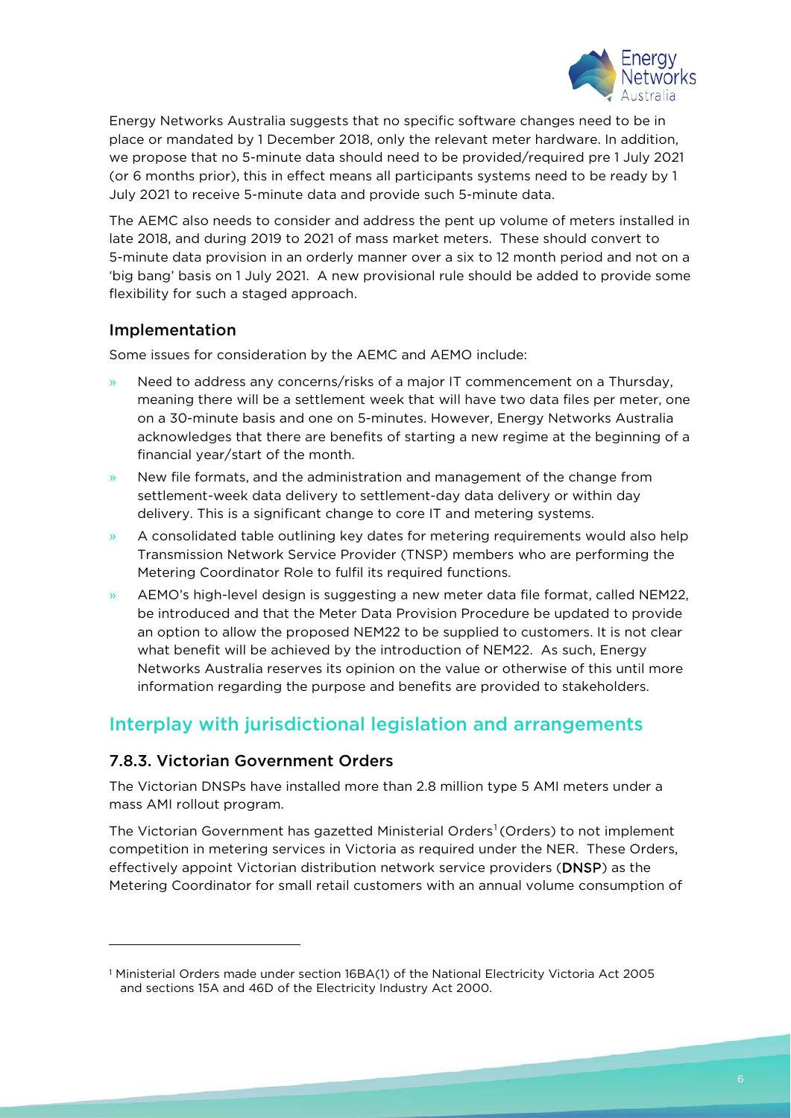

Energy Networks Australia suggests that no specific software changes need to be in place or mandated by 1 December 2018, only the relevant meter hardware. In addition, we propose that no 5-minute data should need to be provided/required pre 1 July 2021 (or 6 months prior), this in effect means all participants systems need to be ready by 1 July 2021 to receive 5-minute data and provide such 5-minute data.

The AEMC also needs to consider and address the pent up volume of meters installed in late 2018, and during 2019 to 2021 of mass market meters. These should convert to 5-minute data provision in an orderly manner over a six to 12 month period and not on a 'big bang' basis on 1 July 2021. A new provisional rule should be added to provide some flexibility for such a staged approach.

#### Implementation

Some issues for consideration by the AEMC and AEMO include:

- » Need to address any concerns/risks of a major IT commencement on a Thursday, meaning there will be a settlement week that will have two data files per meter, one on a 30-minute basis and one on 5-minutes. However, Energy Networks Australia acknowledges that there are benefits of starting a new regime at the beginning of a financial year/start of the month.
- » New file formats, and the administration and management of the change from settlement-week data delivery to settlement-day data delivery or within day delivery. This is a significant change to core IT and metering systems.
- » A consolidated table outlining key dates for metering requirements would also help Transmission Network Service Provider (TNSP) members who are performing the Metering Coordinator Role to fulfil its required functions.
- » AEMO's high-level design is suggesting a new meter data file format, called NEM22, be introduced and that the Meter Data Provision Procedure be updated to provide an option to allow the proposed NEM22 to be supplied to customers. It is not clear what benefit will be achieved by the introduction of NEM22. As such, Energy Networks Australia reserves its opinion on the value or otherwise of this until more information regarding the purpose and benefits are provided to stakeholders.

# Interplay with jurisdictional legislation and arrangements

### 7.8.3. Victorian Government Orders

l

The Victorian DNSPs have installed more than 2.8 million type 5 AMI meters under a mass AMI rollout program.

The Victorian Government has gazetted Ministerial Orders<sup>[1](#page-5-0)</sup> (Orders) to not implement competition in metering services in Victoria as required under the NER. These Orders, effectively appoint Victorian distribution network service providers (DNSP) as the Metering Coordinator for small retail customers with an annual volume consumption of

<span id="page-5-0"></span><sup>1</sup> Ministerial Orders made under section 16BA(1) of the National Electricity Victoria Act 2005 and sections 15A and 46D of the Electricity Industry Act 2000.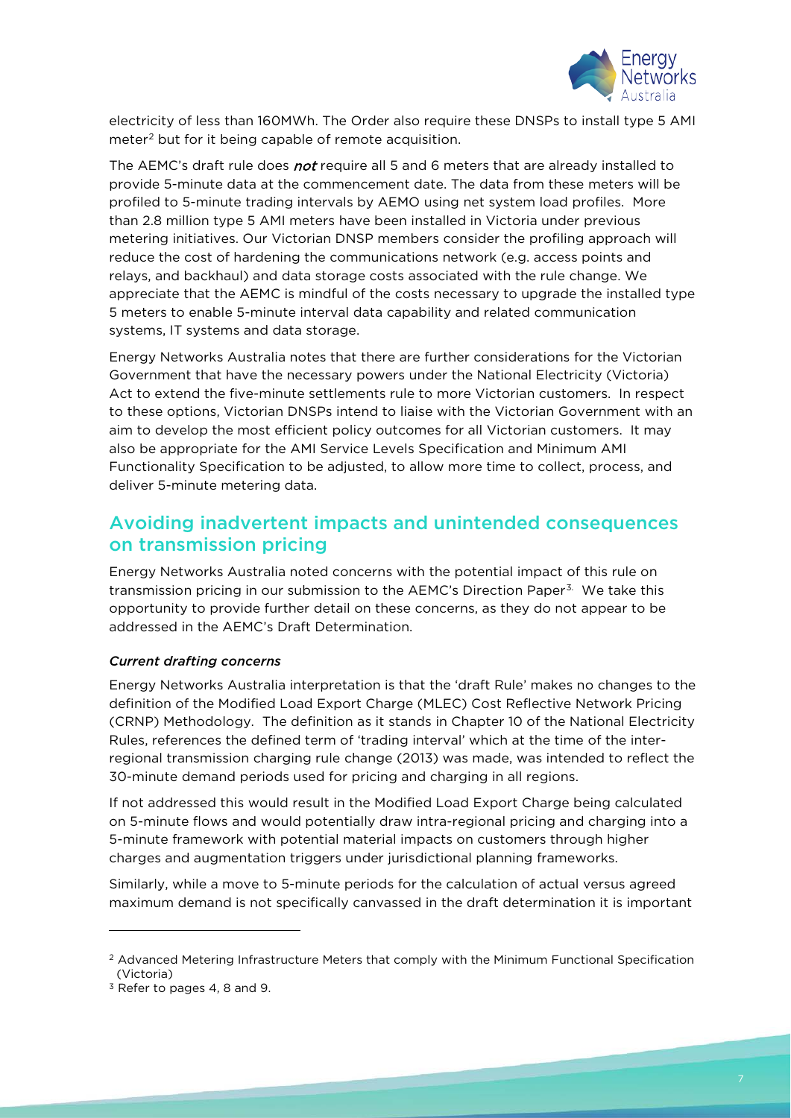

electricity of less than 160MWh. The Order also require these DNSPs to install type 5 AMI meter<sup>[2](#page-6-0)</sup> but for it being capable of remote acquisition.

The AEMC's draft rule does not require all 5 and 6 meters that are already installed to provide 5-minute data at the commencement date. The data from these meters will be profiled to 5-minute trading intervals by AEMO using net system load profiles. More than 2.8 million type 5 AMI meters have been installed in Victoria under previous metering initiatives. Our Victorian DNSP members consider the profiling approach will reduce the cost of hardening the communications network (e.g. access points and relays, and backhaul) and data storage costs associated with the rule change. We appreciate that the AEMC is mindful of the costs necessary to upgrade the installed type 5 meters to enable 5-minute interval data capability and related communication systems, IT systems and data storage.

Energy Networks Australia notes that there are further considerations for the Victorian Government that have the necessary powers under the National Electricity (Victoria) Act to extend the five-minute settlements rule to more Victorian customers. In respect to these options, Victorian DNSPs intend to liaise with the Victorian Government with an aim to develop the most efficient policy outcomes for all Victorian customers. It may also be appropriate for the AMI Service Levels Specification and Minimum AMI Functionality Specification to be adjusted, to allow more time to collect, process, and deliver 5-minute metering data.

# Avoiding inadvertent impacts and unintended consequences on transmission pricing

Energy Networks Australia noted concerns with the potential impact of this rule on transmission pricing in our submission to the AEMC's Direction Paper<sup>[3](#page-6-1).</sup> We take this opportunity to provide further detail on these concerns, as they do not appear to be addressed in the AEMC's Draft Determination.

#### *Current drafting concerns*

Energy Networks Australia interpretation is that the 'draft Rule' makes no changes to the definition of the Modified Load Export Charge (MLEC) Cost Reflective Network Pricing (CRNP) Methodology. The definition as it stands in Chapter 10 of the National Electricity Rules, references the defined term of 'trading interval' which at the time of the interregional transmission charging rule change (2013) was made, was intended to reflect the 30-minute demand periods used for pricing and charging in all regions.

If not addressed this would result in the Modified Load Export Charge being calculated on 5-minute flows and would potentially draw intra-regional pricing and charging into a 5-minute framework with potential material impacts on customers through higher charges and augmentation triggers under jurisdictional planning frameworks.

Similarly, while a move to 5-minute periods for the calculation of actual versus agreed maximum demand is not specifically canvassed in the draft determination it is important

l

<span id="page-6-0"></span><sup>&</sup>lt;sup>2</sup> Advanced Metering Infrastructure Meters that comply with the Minimum Functional Specification (Victoria)

<span id="page-6-1"></span><sup>&</sup>lt;sup>3</sup> Refer to pages 4, 8 and 9.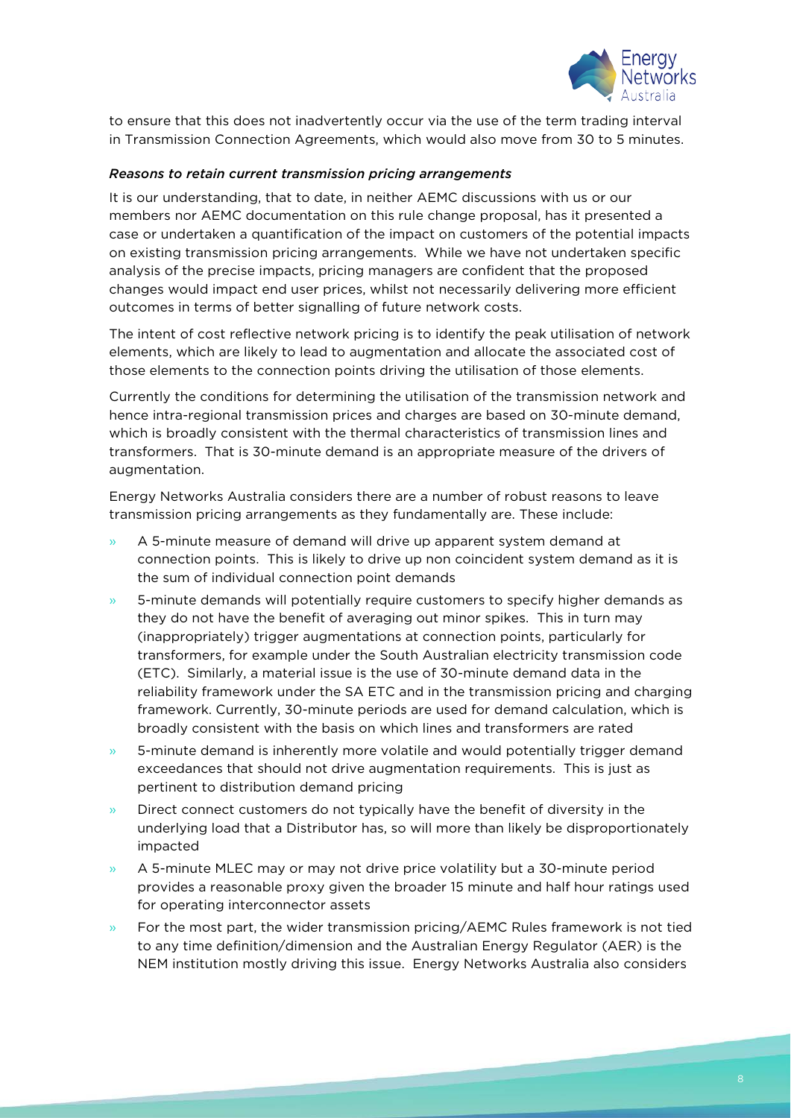

to ensure that this does not inadvertently occur via the use of the term trading interval in Transmission Connection Agreements, which would also move from 30 to 5 minutes.

#### *Reasons to retain current transmission pricing arrangements*

It is our understanding, that to date, in neither AEMC discussions with us or our members nor AEMC documentation on this rule change proposal, has it presented a case or undertaken a quantification of the impact on customers of the potential impacts on existing transmission pricing arrangements. While we have not undertaken specific analysis of the precise impacts, pricing managers are confident that the proposed changes would impact end user prices, whilst not necessarily delivering more efficient outcomes in terms of better signalling of future network costs.

The intent of cost reflective network pricing is to identify the peak utilisation of network elements, which are likely to lead to augmentation and allocate the associated cost of those elements to the connection points driving the utilisation of those elements.

Currently the conditions for determining the utilisation of the transmission network and hence intra-regional transmission prices and charges are based on 30-minute demand, which is broadly consistent with the thermal characteristics of transmission lines and transformers. That is 30-minute demand is an appropriate measure of the drivers of augmentation.

Energy Networks Australia considers there are a number of robust reasons to leave transmission pricing arrangements as they fundamentally are. These include:

- » A 5-minute measure of demand will drive up apparent system demand at connection points. This is likely to drive up non coincident system demand as it is the sum of individual connection point demands
- » 5-minute demands will potentially require customers to specify higher demands as they do not have the benefit of averaging out minor spikes. This in turn may (inappropriately) trigger augmentations at connection points, particularly for transformers, for example under the South Australian electricity transmission code (ETC). Similarly, a material issue is the use of 30-minute demand data in the reliability framework under the SA ETC and in the transmission pricing and charging framework. Currently, 30-minute periods are used for demand calculation, which is broadly consistent with the basis on which lines and transformers are rated
- » 5-minute demand is inherently more volatile and would potentially trigger demand exceedances that should not drive augmentation requirements. This is just as pertinent to distribution demand pricing
- » Direct connect customers do not typically have the benefit of diversity in the underlying load that a Distributor has, so will more than likely be disproportionately impacted
- » A 5-minute MLEC may or may not drive price volatility but a 30-minute period provides a reasonable proxy given the broader 15 minute and half hour ratings used for operating interconnector assets
- » For the most part, the wider transmission pricing/AEMC Rules framework is not tied to any time definition/dimension and the Australian Energy Regulator (AER) is the NEM institution mostly driving this issue. Energy Networks Australia also considers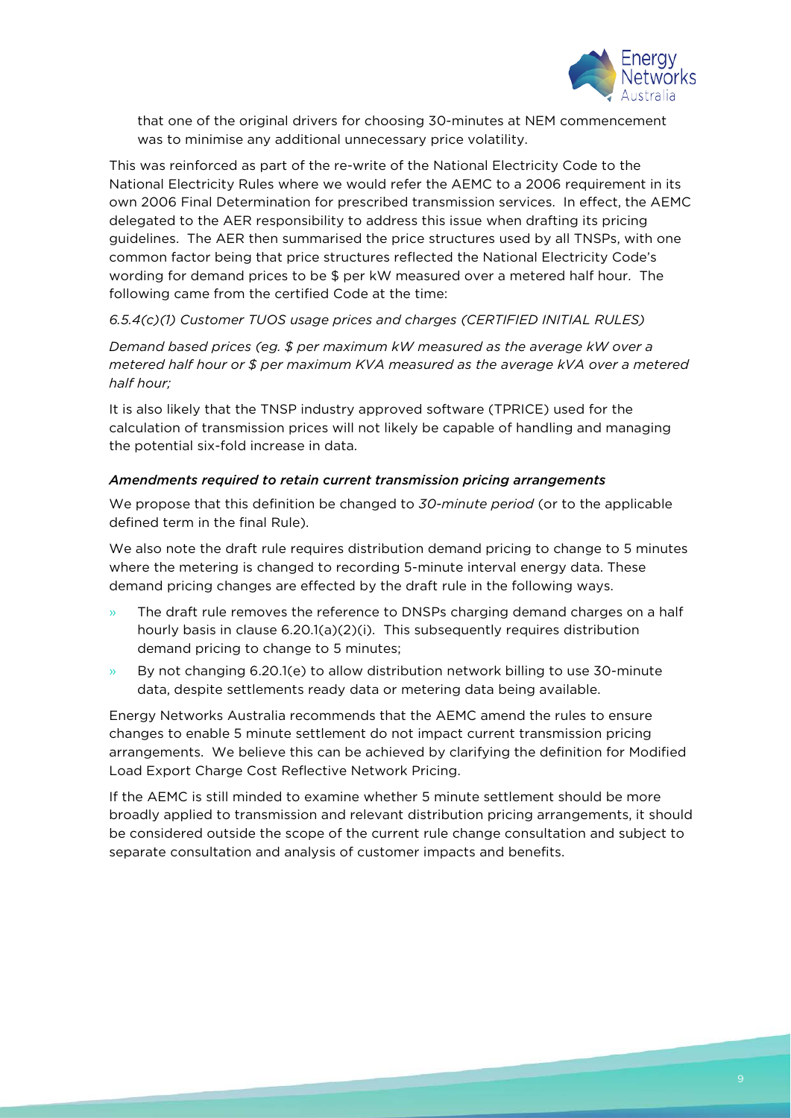

that one of the original drivers for choosing 30-minutes at NEM commencement was to minimise any additional unnecessary price volatility.

This was reinforced as part of the re-write of the National Electricity Code to the National Electricity Rules where we would refer the AEMC to a 2006 requirement in its own 2006 Final Determination for prescribed transmission services. In effect, the AEMC delegated to the AER responsibility to address this issue when drafting its pricing guidelines. The AER then summarised the price structures used by all TNSPs, with one common factor being that price structures reflected the National Electricity Code's wording for demand prices to be \$ per kW measured over a metered half hour. The following came from the certified Code at the time:

#### *6.5.4(c)(1) Customer TUOS usage prices and charges (CERTIFIED INITIAL RULES)*

*Demand based prices (eg. \$ per maximum kW measured as the average kW over a metered half hour or \$ per maximum KVA measured as the average kVA over a metered half hour;*

It is also likely that the TNSP industry approved software (TPRICE) used for the calculation of transmission prices will not likely be capable of handling and managing the potential six-fold increase in data.

#### *Amendments required to retain current transmission pricing arrangements*

We propose that this definition be changed to *30-minute period* (or to the applicable defined term in the final Rule).

We also note the draft rule requires distribution demand pricing to change to 5 minutes where the metering is changed to recording 5-minute interval energy data. These demand pricing changes are effected by the draft rule in the following ways.

- The draft rule removes the reference to DNSPs charging demand charges on a half hourly basis in clause 6.20.1(a)(2)(i). This subsequently requires distribution demand pricing to change to 5 minutes;
- » By not changing 6.20.1(e) to allow distribution network billing to use 30-minute data, despite settlements ready data or metering data being available.

Energy Networks Australia recommends that the AEMC amend the rules to ensure changes to enable 5 minute settlement do not impact current transmission pricing arrangements. We believe this can be achieved by clarifying the definition for Modified Load Export Charge Cost Reflective Network Pricing.

If the AEMC is still minded to examine whether 5 minute settlement should be more broadly applied to transmission and relevant distribution pricing arrangements, it should be considered outside the scope of the current rule change consultation and subject to separate consultation and analysis of customer impacts and benefits.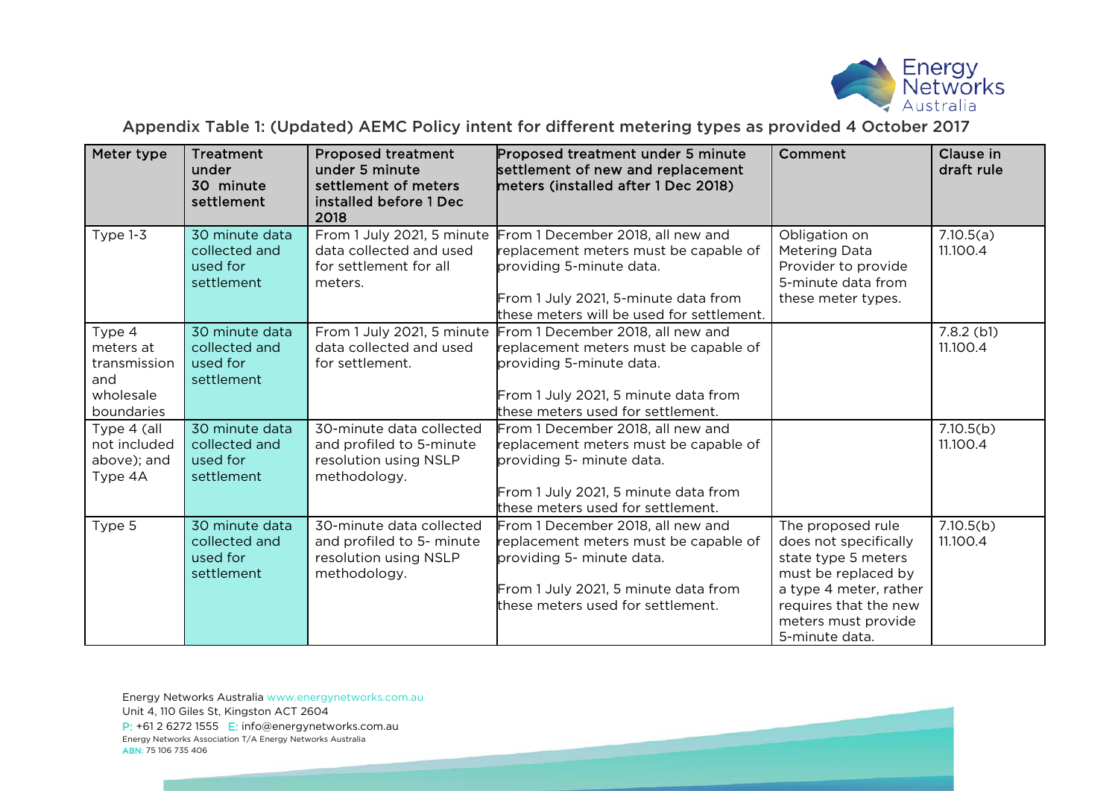

## Appendix Table 1: (Updated) AEMC Policy intent for different metering types as provided 4 October 2017

| Meter type                                                            | <b>Treatment</b><br>under<br>30 minute<br>settlement      | <b>Proposed treatment</b><br>under 5 minute<br>settlement of meters<br>installed before 1 Dec<br>2018 | Proposed treatment under 5 minute<br>settlement of new and replacement<br>meters (installed after 1 Dec 2018)                                                                                                          | Comment                                                                                                                                                                              | Clause in<br>draft rule  |
|-----------------------------------------------------------------------|-----------------------------------------------------------|-------------------------------------------------------------------------------------------------------|------------------------------------------------------------------------------------------------------------------------------------------------------------------------------------------------------------------------|--------------------------------------------------------------------------------------------------------------------------------------------------------------------------------------|--------------------------|
| Type $1-3$                                                            | 30 minute data<br>collected and<br>used for<br>settlement | data collected and used<br>for settlement for all<br>meters.                                          | From 1 July 2021, 5 minute From 1 December 2018, all new and<br>replacement meters must be capable of<br>providing 5-minute data.<br>From 1 July 2021, 5-minute data from<br>these meters will be used for settlement. | Obligation on<br>Metering Data<br>Provider to provide<br>5-minute data from<br>these meter types.                                                                                    | 7.10.5(a)<br>11.100.4    |
| Type 4<br>meters at<br>transmission<br>and<br>wholesale<br>boundaries | 30 minute data<br>collected and<br>used for<br>settlement | From 1 July 2021, 5 minute<br>data collected and used<br>for settlement.                              | From 1 December 2018, all new and<br>replacement meters must be capable of<br>providing 5-minute data.<br>From 1 July 2021, 5 minute data from<br>these meters used for settlement.                                    |                                                                                                                                                                                      | $7.8.2$ (b1)<br>11.100.4 |
| Type 4 (all<br>not included<br>above); and<br>Type 4A                 | 30 minute data<br>collected and<br>used for<br>settlement | 30-minute data collected<br>and profiled to 5-minute<br>resolution using NSLP<br>methodology.         | From 1 December 2018, all new and<br>replacement meters must be capable of<br>providing 5- minute data.<br>From 1 July 2021, 5 minute data from<br>these meters used for settlement.                                   |                                                                                                                                                                                      | 7.10.5(b)<br>11.100.4    |
| Type 5                                                                | 30 minute data<br>collected and<br>used for<br>settlement | 30-minute data collected<br>and profiled to 5- minute<br>resolution using NSLP<br>methodology.        | From 1 December 2018, all new and<br>replacement meters must be capable of<br>providing 5- minute data.<br>From 1 July 2021, 5 minute data from<br>these meters used for settlement.                                   | The proposed rule<br>does not specifically<br>state type 5 meters<br>must be replaced by<br>a type 4 meter, rather<br>requires that the new<br>meters must provide<br>5-minute data. | 7.10.5(b)<br>11.100.4    |

Energy Networks Australia [www.energynetworks.com.au](http://www.energynetworks.com.au/) Unit 4, 110 Giles St, Kingston ACT 2604 P: +61 2 6272 1555 E: [info@energynetworks.com.au](mailto:info@energynetworks.com.au) Energy Networks Association T/A Energy Networks Australia ABN: 75 106 735 406